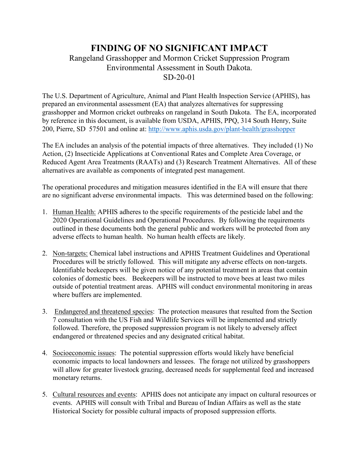## **FINDING OF NO SIGNIFICANT IMPACT** Rangeland Grasshopper and Mormon Cricket Suppression Program Environmental Assessment in South Dakota. SD-20-01

The U.S. Department of Agriculture, Animal and Plant Health Inspection Service (APHIS), has prepared an environmental assessment (EA) that analyzes alternatives for suppressing grasshopper and Mormon cricket outbreaks on rangeland in South Dakota. The EA, incorporated by reference in this document, is available from USDA, APHIS, PPQ, 314 South Henry, Suite 200, Pierre, SD 57501 and online at: <http://www.aphis.usda.gov/plant-health/grasshopper>

The EA includes an analysis of the potential impacts of three alternatives. They included (1) No Action, (2) Insecticide Applications at Conventional Rates and Complete Area Coverage, or Reduced Agent Area Treatments (RAATs) and (3) Research Treatment Alternatives. All of these alternatives are available as components of integrated pest management.

The operational procedures and mitigation measures identified in the EA will ensure that there are no significant adverse environmental impacts. This was determined based on the following:

- 1. Human Health: APHIS adheres to the specific requirements of the pesticide label and the 2020 Operational Guidelines and Operational Procedures. By following the requirements outlined in these documents both the general public and workers will be protected from any adverse effects to human health. No human health effects are likely.
- 2. Non-targets: Chemical label instructions and APHIS Treatment Guidelines and Operational Procedures will be strictly followed. This will mitigate any adverse effects on non-targets. Identifiable beekeepers will be given notice of any potential treatment in areas that contain colonies of domestic bees. Beekeepers will be instructed to move bees at least two miles outside of potential treatment areas. APHIS will conduct environmental monitoring in areas where buffers are implemented.
- 3. Endangered and threatened species: The protection measures that resulted from the Section 7 consultation with the US Fish and Wildlife Services will be implemented and strictly followed. Therefore, the proposed suppression program is not likely to adversely affect endangered or threatened species and any designated critical habitat.
- 4. Socioeconomic issues: The potential suppression efforts would likely have beneficial economic impacts to local landowners and lessees. The forage not utilized by grasshoppers will allow for greater livestock grazing, decreased needs for supplemental feed and increased monetary returns.
- 5. Cultural resources and events: APHIS does not anticipate any impact on cultural resources or events. APHIS will consult with Tribal and Bureau of Indian Affairs as well as the state Historical Society for possible cultural impacts of proposed suppression efforts.